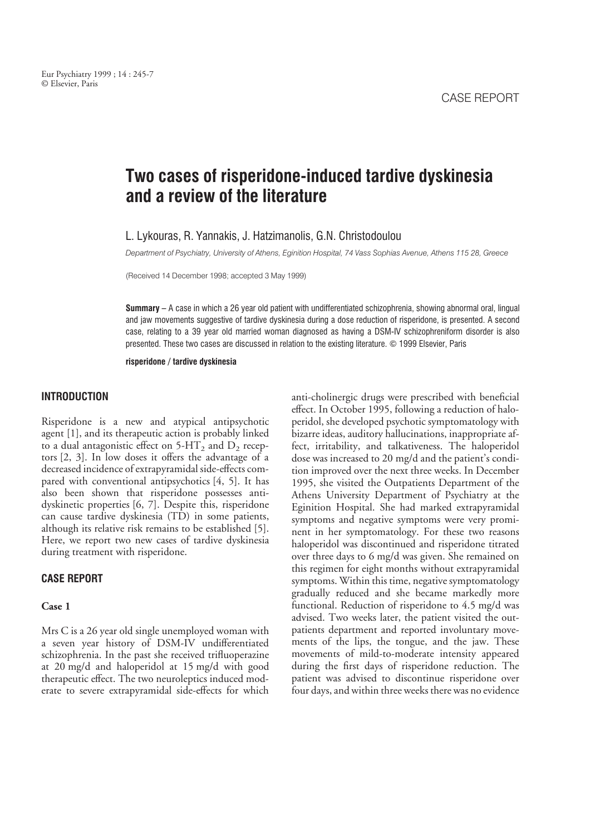# **Two cases of risperidone-induced tardive dyskinesia and a review of the literature**

## L. Lykouras, R. Yannakis, J. Hatzimanolis, G.N. Christodoulou

*Department of Psychiatry, University of Athens, Eginition Hospital, 74 Vass Sophias Avenue, Athens 115 28, Greece*

(Received 14 December 1998; accepted 3 May 1999)

**Summary –** A case in which a 26 year old patient with undifferentiated schizophrenia, showing abnormal oral, lingual and jaw movements suggestive of tardive dyskinesia during a dose reduction of risperidone, is presented. A second case, relating to a 39 year old married woman diagnosed as having a DSM-IV schizophreniform disorder is also presented. These two cases are discussed in relation to the existing literature. © 1999 Elsevier, Paris

**risperidone / tardive dyskinesia**

#### **INTRODUCTION**

Risperidone is a new and atypical antipsychotic agent [1], and its therapeutic action is probably linked to a dual antagonistic effect on  $5-HT_2$  and  $D_2$  receptors [2, 3]. In low doses it offers the advantage of a decreased incidence of extrapyramidal side-effects compared with conventional antipsychotics [4, 5]. It has also been shown that risperidone possesses antidyskinetic properties [6, 7]. Despite this, risperidone can cause tardive dyskinesia (TD) in some patients, although its relative risk remains to be established [5]. Here, we report two new cases of tardive dyskinesia during treatment with risperidone.

#### **CASE REPORT**

#### **Case 1**

Mrs C is a 26 year old single unemployed woman with a seven year history of DSM-IV undifferentiated schizophrenia. In the past she received trifluoperazine at 20 mg/d and haloperidol at 15 mg/d with good therapeutic effect. The two neuroleptics induced moderate to severe extrapyramidal side-effects for which anti-cholinergic drugs were prescribed with beneficial effect. In October 1995, following a reduction of haloperidol, she developed psychotic symptomatology with bizarre ideas, auditory hallucinations, inappropriate affect, irritability, and talkativeness. The haloperidol dose was increased to 20 mg/d and the patient's condition improved over the next three weeks. In December 1995, she visited the Outpatients Department of the Athens University Department of Psychiatry at the Eginition Hospital. She had marked extrapyramidal symptoms and negative symptoms were very prominent in her symptomatology. For these two reasons haloperidol was discontinued and risperidone titrated over three days to 6 mg/d was given. She remained on this regimen for eight months without extrapyramidal symptoms. Within this time, negative symptomatology gradually reduced and she became markedly more functional. Reduction of risperidone to 4.5 mg/d was advised. Two weeks later, the patient visited the outpatients department and reported involuntary movements of the lips, the tongue, and the jaw. These movements of mild-to-moderate intensity appeared during the first days of risperidone reduction. The patient was advised to discontinue risperidone over four days, and within three weeks there was no evidence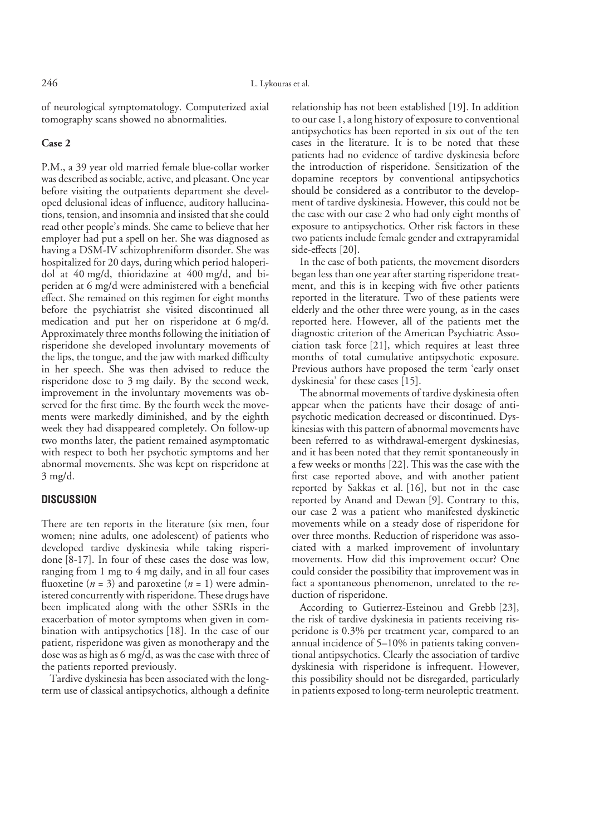of neurological symptomatology. Computerized axial tomography scans showed no abnormalities.

#### **Case 2**

P.M., a 39 year old married female blue-collar worker was described as sociable, active, and pleasant. One year before visiting the outpatients department she developed delusional ideas of influence, auditory hallucinations, tension, and insomnia and insisted that she could read other people's minds. She came to believe that her employer had put a spell on her. She was diagnosed as having a DSM-IV schizophreniform disorder. She was hospitalized for 20 days, during which period haloperidol at 40 mg/d, thioridazine at 400 mg/d, and biperiden at 6 mg/d were administered with a beneficial effect. She remained on this regimen for eight months before the psychiatrist she visited discontinued all medication and put her on risperidone at 6 mg/d. Approximately three months following the initiation of risperidone she developed involuntary movements of the lips, the tongue, and the jaw with marked difficulty in her speech. She was then advised to reduce the risperidone dose to 3 mg daily. By the second week, improvement in the involuntary movements was observed for the first time. By the fourth week the movements were markedly diminished, and by the eighth week they had disappeared completely. On follow-up two months later, the patient remained asymptomatic with respect to both her psychotic symptoms and her abnormal movements. She was kept on risperidone at 3 mg/d.

### **DISCUSSION**

There are ten reports in the literature (six men, four women; nine adults, one adolescent) of patients who developed tardive dyskinesia while taking risperidone [8-17]. In four of these cases the dose was low, ranging from 1 mg to 4 mg daily, and in all four cases fluoxetine  $(n = 3)$  and paroxetine  $(n = 1)$  were administered concurrently with risperidone. These drugs have been implicated along with the other SSRIs in the exacerbation of motor symptoms when given in combination with antipsychotics [18]. In the case of our patient, risperidone was given as monotherapy and the dose was as high as 6 mg/d, as was the case with three of the patients reported previously.

Tardive dyskinesia has been associated with the longterm use of classical antipsychotics, although a definite relationship has not been established [19]. In addition to our case 1, a long history of exposure to conventional antipsychotics has been reported in six out of the ten cases in the literature. It is to be noted that these patients had no evidence of tardive dyskinesia before the introduction of risperidone. Sensitization of the dopamine receptors by conventional antipsychotics should be considered as a contributor to the development of tardive dyskinesia. However, this could not be the case with our case 2 who had only eight months of exposure to antipsychotics. Other risk factors in these two patients include female gender and extrapyramidal side-effects [20].

In the case of both patients, the movement disorders began less than one year after starting risperidone treatment, and this is in keeping with five other patients reported in the literature. Two of these patients were elderly and the other three were young, as in the cases reported here. However, all of the patients met the diagnostic criterion of the American Psychiatric Association task force [21], which requires at least three months of total cumulative antipsychotic exposure. Previous authors have proposed the term 'early onset dyskinesia' for these cases [15].

The abnormal movements of tardive dyskinesia often appear when the patients have their dosage of antipsychotic medication decreased or discontinued. Dyskinesias with this pattern of abnormal movements have been referred to as withdrawal-emergent dyskinesias, and it has been noted that they remit spontaneously in a few weeks or months [22]. This was the case with the first case reported above, and with another patient reported by Sakkas et al. [16], but not in the case reported by Anand and Dewan [9]. Contrary to this, our case 2 was a patient who manifested dyskinetic movements while on a steady dose of risperidone for over three months. Reduction of risperidone was associated with a marked improvement of involuntary movements. How did this improvement occur? One could consider the possibility that improvement was in fact a spontaneous phenomenon, unrelated to the reduction of risperidone.

According to Gutierrez-Esteinou and Grebb [23], the risk of tardive dyskinesia in patients receiving risperidone is 0.3% per treatment year, compared to an annual incidence of 5–10% in patients taking conventional antipsychotics. Clearly the association of tardive dyskinesia with risperidone is infrequent. However, this possibility should not be disregarded, particularly in patients exposed to long-term neuroleptic treatment.